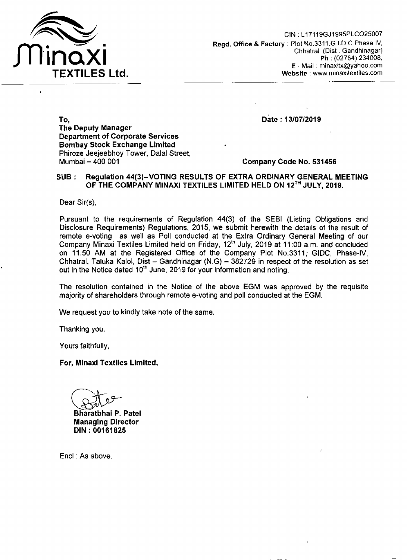

Date: 13/07/2019

To, The Deputy Manager Department of Corporate Services Bombay Stock Exchange Limited Phiroze Jeejeebhoy Tower, Dalal Street, Mumbai - 400 001

Company Code No. 531456

## SUB: Regulation 44(3)-VOTING RESULTS OF EXTRA ORDINARY GENERAL MEETING OF THE COMPANY MINAXI TEXTILES LIMITED HELD ON 12<sup>TH</sup> JULY, 2019.

Dear  $Sir(s)$ ,

Pursuant to the requirements of Regulation 44(3) of the SEBI (Listing Obligations and Disclosure Requirements) Regulations, 2015, we submit herewith the details of the result of remote e-voting as well as Poll conducted at the Extra Ordinary General Meeting of our Company Minaxi Textiles Limited held on Friday, 12'h July, 2019 at 11:00 a.m. and concluded on 11.50 AM at the Registered Office of the Company Plot No.3311; GIDC, Phase-IV, Chhatral, Taluka Kalol, Dist - Gandhinagar (N.G) -  $382729$  in respect of the resolution as set out in the Notice dated 10<sup>th</sup> June, 2019 for your information and noting.

The resolution contained in the Notice of the above EGM was approved by the requisite majority of shareholders through remote e-voting and poll conducted at the EGM.

We request you to kindly take note of the same.

Thanking you.

Yours faithfully,

For, Minaxi Textiles Limited,

Bites

Bharatbhai P. Patel Managing Director DIN: 00161825

Encl : As above.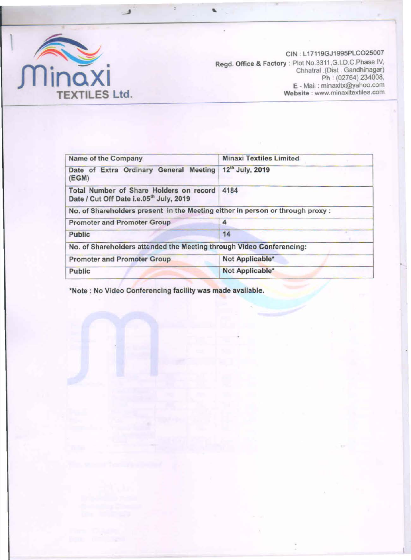

CIN : L17119GJ1 995PLC025007 Regd. Office & Factory : Plot NO.3311 ,G.I.D.C.Phase IV, Chhatrai .(Dist . Gandhinagar) Ph : (02764) 234008, E -Mail: minaxitx@yahoo.com Website : www.minaxitextiles.com

•

| Name of the Company                                                                            | <b>Minaxi Textiles Limited</b> |  |  |  |  |
|------------------------------------------------------------------------------------------------|--------------------------------|--|--|--|--|
| Date of Extra Ordinary General Meeting<br>(EGM)                                                | 12 <sup>th</sup> July, 2019    |  |  |  |  |
| Total Number of Share Holders on record<br>Date / Cut Off Date i.e.05 <sup>th</sup> July, 2019 | 4184                           |  |  |  |  |
| No. of Shareholders present in the Meeting either in person or through proxy :                 |                                |  |  |  |  |
| <b>Promoter and Promoter Group</b>                                                             | 4                              |  |  |  |  |
| Public                                                                                         | 14                             |  |  |  |  |
| No. of Shareholders attended the Meeting through Video Conferencing:                           |                                |  |  |  |  |
| <b>Promoter and Promoter Group</b>                                                             | Not Applicable*                |  |  |  |  |
| Public                                                                                         | Not Applicable*                |  |  |  |  |
|                                                                                                |                                |  |  |  |  |

..

\*Note : No Video Conferencing facility was made available.